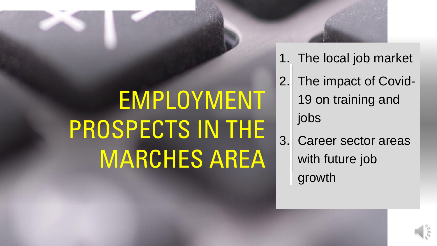## EMPLOYMENT PROSPECTS IN THE MARCHES AREA

- 1. The local job market
- 2. The impact of Covid-19 on training and jobs
- 3. Career sector areas with future job growth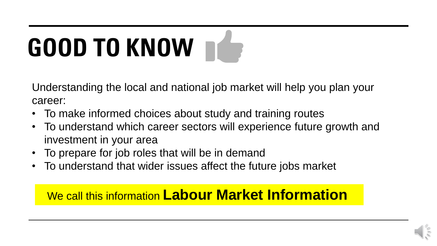# **GOOD TO KNOW**

Understanding the local and national job market will help you plan your career:

- To make informed choices about study and training routes
- To understand which career sectors will experience future growth and investment in your area
- To prepare for job roles that will be in demand
- To understand that wider issues affect the future jobs market

### We call this information **Labour Market Information**

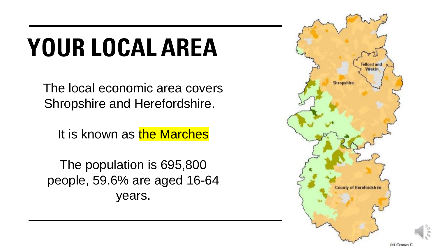## **YOUR LOCAL AREA**

The local economic area covers Shropshire and Herefordshire.

It is known as the Marches

The population is 695,800 people, 59.6% are aged 16-64 years.

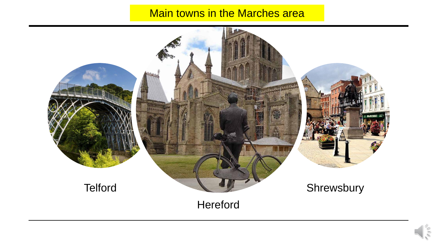### **Main towns in the Marches area**



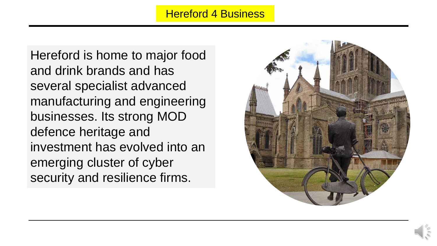### Hereford 4 Business

Hereford is home to major food and drink brands and has several specialist advanced manufacturing and engineering businesses. Its strong MOD defence heritage and investment has evolved into an emerging cluster of cyber security and resilience firms.

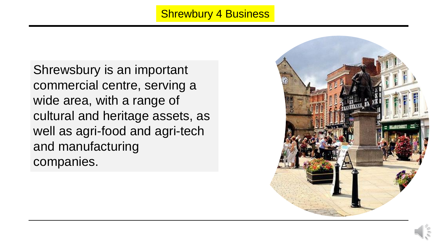### **Shrewbury 4 Business**

Shrewsbury is an important commercial centre, serving a wide area, with a range of cultural and heritage assets, as well as agri-food and agri-tech and manufacturing companies.

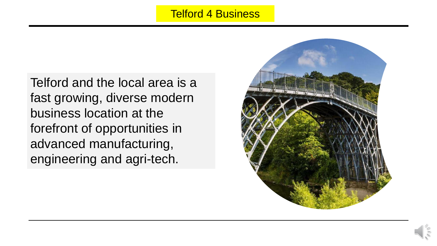### **Telford 4 Business**

Telford and the local area is a fast growing, diverse modern business location at the forefront of opportunities in advanced manufacturing, engineering and agri-tech.

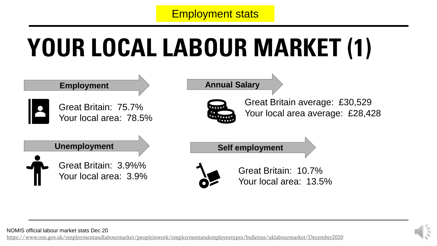### Employment stats

## **YOUR LOCAL LABOUR MARKET (1)**



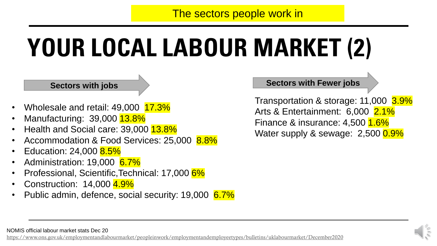The sectors people work in

## **YOUR LOCAL LABOUR MARKET (2)**

### **Sectors with jobs**

- Wholesale and retail: 49,000 17.3%
- Manufacturing: 39,000 13.8%
- Health and Social care: 39,000 13.8%
- Accommodation & Food Services: 25,000 8.8%
- Education: 24,000 8.5%
- Administration: 19,000 6.7%
- Professional, Scientific,Technical: 17,000 6%
- Construction: 14,000 4.9%
- Public admin, defence, social security: 19,000 6.7%

### **Sectors with Fewer jobs**

Transportation & storage: 11,000 3.9% Arts & Entertainment: 6,000 2.1% Finance & insurance: 4,500 1.6% Water supply & sewage: 2,500 0.9%

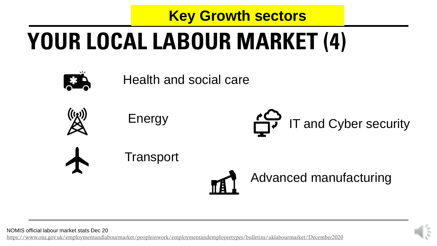## **YOUR LOCAL LABOUR MARKET (4) Key Growth sectors**

Health and social care



Energy

**Transport** 





Advanced manufacturing

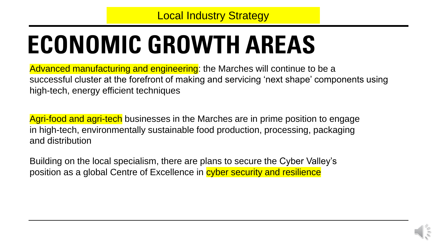## **ECONOMIC GROWTH AREAS**

Advanced manufacturing and engineering: the Marches will continue to be a successful cluster at the forefront of making and servicing 'next shape' components using high-tech, energy efficient techniques

Agri-food and agri-tech businesses in the Marches are in prime position to engage in high-tech, environmentally sustainable food production, processing, packaging and distribution

Building on the local specialism, there are plans to secure the Cyber Valley's position as a global Centre of Excellence in cyber security and resilience

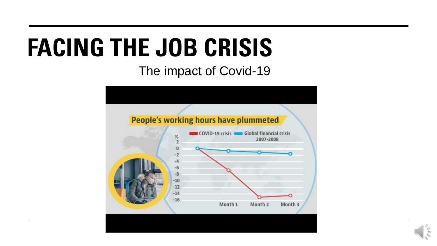## **FACING THE JOB CRISIS**

The impact of Covid-19



 $\leq$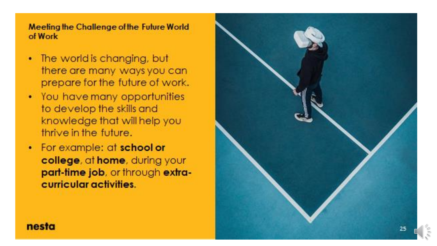Meeting the Challenge of the Future World of Work

- The world is changing, but there are many ways you can prepare for the future of work.
- You have many opportunities to develop the skills and knowledge that will help you thrive in the future.
- For example: at school or college, at home, during your part-time job, or through extracurricular activities.

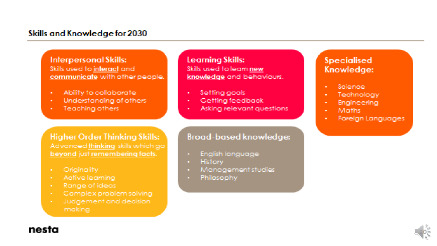### Skills and Knowledge for 2030

**Interpersonal Skills:** Skills used to interact and communicate with other people.

- Ability to collaborate
- Understanding of others
- Teaching others

### **Learning Skills:**

Skills used to learn new knowledge and behaviours.

- Setting goals
- Getting feedback
- Asking relevant questions

### **Broad-based knowledge:**

- English language
- **History**
- Management studies
- **Philosophy**

### Specialised Knowledge:

- Science:
- Technology
- Engineering
- Maths:
- Foreign Languages

**Higher Order Thinking Skills:** Advanced thinking skills which go beyond just remembering facts.

- Originality
- Active learning
- Range of ideas
- · Complex problem solving
- Judgement and decision making

### nesta

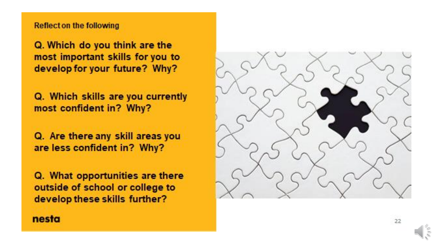### **Reflect on the following**

Q. Which do you think are the most important skills for you to develop for your future? Why?

Q. Which skills are you currently most confident in? Why?

Q. Are there any skill areas you are less confident in? Why?

Q. What opportunities are there outside of school or college to develop these skills further?

### nesta